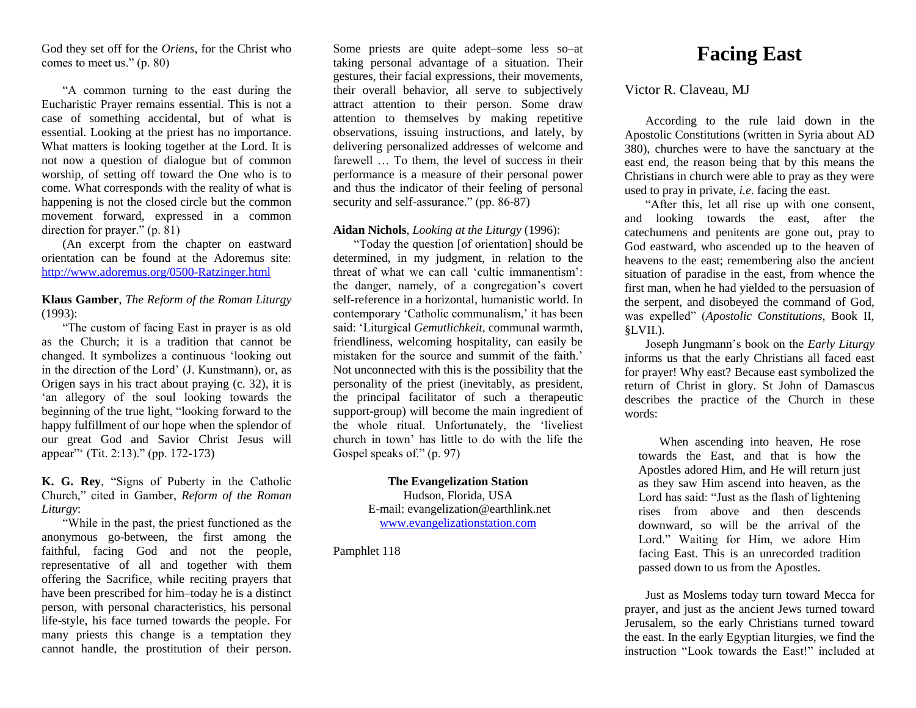God they set off for the *Oriens*, for the Christ who comes to meet us." (p. 80)

"A common turning to the east during the Eucharistic Prayer remains essential. This is not a case of something accidental, but of what is essential. Looking at the priest has no importance. What matters is looking together at the Lord. It is not now a question of dialogue but of common worship, of setting off toward the One who is to come. What corresponds with the reality of what is happening is not the closed circle but the common movement forward, expressed in a common direction for prayer." (p. 81)

(An excerpt from the chapter on eastward orientation can be found at the Adoremus site: <http://www.adoremus.org/0500-Ratzinger.html>

# **Klaus Gamber**, *The Reform of the Roman Liturgy* (1993):

"The custom of facing East in prayer is as old as the Church; it is a tradition that cannot be changed. It symbolizes a continuous 'looking out in the direction of the Lord' (J. Kunstmann), or, as Origen says in his tract about praying (c. 32), it is 'an allegory of the soul looking towards the beginning of the true light, "looking forward to the happy fulfillment of our hope when the splendor of our great God and Savior Christ Jesus will appear"' (Tit. 2:13)." (pp. 172-173)

# **K. G. Rey**, "Signs of Puberty in the Catholic Church," cited in Gamber, *Reform of the Roman Liturgy*:

"While in the past, the priest functioned as the anonymous go-between, the first among the faithful, facing God and not the people, representative of all and together with them offering the Sacrifice, while reciting prayers that have been prescribed for him–today he is a distinct person, with personal characteristics, his personal life-style, his face turned towards the people. For many priests this change is a temptation they cannot handle, the prostitution of their person.

Some priests are quite adept–some less so–at taking personal advantage of a situation. Their gestures, their facial expressions, their movements, their overall behavior, all serve to subjectively attract attention to their person. Some draw attention to themselves by making repetitive observations, issuing instructions, and lately, by delivering personalized addresses of welcome and farewell ... To them, the level of success in their performance is a measure of their personal power and thus the indicator of their feeling of personal security and self-assurance." (pp. 86-87)

# **Aidan Nichols**, *Looking at the Liturgy* (1996):

"Today the question [of orientation] should be determined, in my judgment, in relation to the threat of what we can call 'cultic immanentism': the danger, namely, of a congregation's covert self-reference in a horizontal, humanistic world. In contemporary 'Catholic communalism,' it has been said: 'Liturgical *Gemutlichkeit*, communal warmth, friendliness, welcoming hospitality, can easily be mistaken for the source and summit of the faith.' Not unconnected with this is the possibility that the personality of the priest (inevitably, as president, the principal facilitator of such a therapeutic support-group) will become the main ingredient of the whole ritual. Unfortunately, the 'liveliest church in town' has little to do with the life the Gospel speaks of." (p. 97)

# **The Evangelization Station**

Hudson, Florida, USA E-mail: evangelization@earthlink.net [www.evangelizationstation.com](http://www.pjpiisoe.org/)

Pamphlet 118

# **Facing East**

# Victor R. Claveau, MJ

According to the rule laid down in the Apostolic Constitutions (written in Syria about AD 380), churches were to have the sanctuary at the east end, the reason being that by this means the Christians in church were able to pray as they were used to pray in private, *i.e*. facing the east.

"After this, let all rise up with one consent, and looking towards the east, after the catechumens and penitents are gone out, pray to God eastward, who ascended up to the heaven of heavens to the east; remembering also the ancient situation of paradise in the east, from whence the first man, when he had yielded to the persuasion of the serpent, and disobeyed the command of God, was expelled" (*Apostolic Constitutions,* Book II, §LVII.).

Joseph Jungmann's book on the *Early Liturgy*  informs us that the early Christians all faced east for prayer! Why east? Because east symbolized the return of Christ in glory. St John of Damascus describes the practice of the Church in these words:

When ascending into heaven, He rose towards the East, and that is how the Apostles adored Him, and He will return just as they saw Him ascend into heaven, as the Lord has said: "Just as the flash of lightening rises from above and then descends downward, so will be the arrival of the Lord." Waiting for Him, we adore Him facing East. This is an unrecorded tradition passed down to us from the Apostles.

Just as Moslems today turn toward Mecca for prayer, and just as the ancient Jews turned toward Jerusalem, so the early Christians turned toward the east. In the early Egyptian liturgies, we find the instruction "Look towards the East!" included at